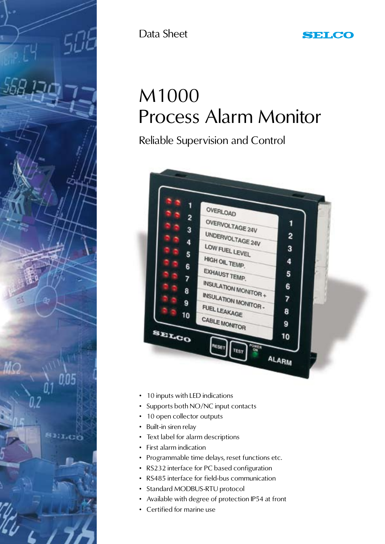

Data Sheet

# M1000 Process Alarm Monitor

Reliable Supervision and Control



- 10 inputs with LED indications
- Supports both NO/NC input contacts
- 10 open collector outputs
- Built-in siren relay
- Text label for alarm descriptions
- First alarm indication
- Programmable time delays, reset functions etc.
- RS232 interface for PC based configuration
- RS485 interface for field-bus communication
- Standard MODBUS-RTU protocol
- Available with degree of protection IP54 at front
- Certified for marine use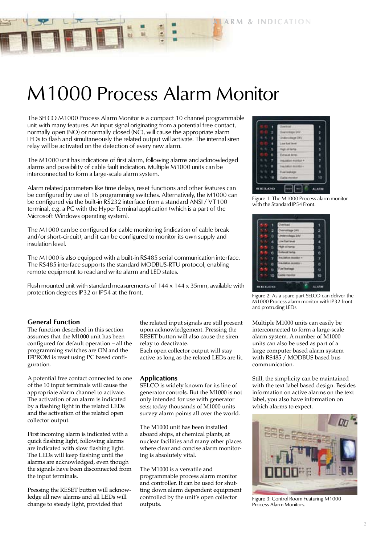**ARM & INDICATION** 

# M1000 Process Alarm Monitor

The SELCO M1000 Process Alarm Monitor is a compact 10 channel programmable unit with many features. An input signal originating from a potential free contact, normally open (NO) or normally closed (NC), will cause the appropriate alarm LEDs to flash and simultaneously the related output will activate. The internal siren relay will be activated on the detection of every new alarm.

The M1000 unit has indications of first alarm, following alarms and acknowledged alarms and possibility of cable fault indication. Multiple M1000 units can be interconnected to form a large-scale alarm system.

Alarm related parameters like time delays, reset functions and other features can be configured by use of 16 programming switches. Alternatively, the M1000 can be configured via the built-in RS232 interface from a standard ANSI / VT100 terminal, e.g. a PC with the HyperTerminal application (which is a part of the Microsoft Windows operating system).

The M1000 can be configured for cable monitoring (indication of cable break and/or short-circuit), and it can be configured to monitor its own supply and insulation level.

The M1000 is also equipped with a built-in RS485 serial communication interface. The RS485 interface supports the standard MODBUS-RTU protocol, enabling remote equipment to read and write alarm and LED states.

Flush mounted unit with standard measurements of 144 x 144 x 35mm, available with protection degrees IP32 or IP54 at the front.

# **General Function**

The function described in this section assumes that the M1000 unit has been configured for default operation – all the programming switches are ON and the E²PROM is reset using PC based configuration.

A potential free contact connected to one of the 10 input terminals will cause the appropriate alarm channel to activate. The activation of an alarm is indicated by a flashing light in the related LEDs and the activation of the related open collector output.

First incoming alarm is indicated with a quick flashing light, following alarms are indicated with slow flashing light. The LEDs will keep flashing until the alarms are acknowledged, even though the signals have been disconnected from the input terminals.

Pressing the RESET button will acknowledge all new alarms and all LEDs will change to steady light, provided that

the related input signals are still present upon acknowledgement. Pressing the RESET button will also cause the siren relay to deactivate.

Each open collector output will stay active as long as the related LEDs are lit.

#### **Applications**

SELCO is widely known for its line of generator controls. But the M1000 is not only intended for use with generator sets; today thousands of M1000 units survey alarm points all over the world.

The M1000 unit has been installed aboard ships, at chemical plants, at nuclear facilities and many other places where clear and concise alarm monitoring is absolutely vital.

The M1000 is a versatile and programmable process alarm monitor and controller. It can be used for shutting down alarm dependent equipment controlled by the unit's open collector outputs.



Figure 1: The M1000 Process alarm monitor with the Standard IP54 Front.

| 2             |               |
|---------------|---------------|
| э             | $\frac{2}{3}$ |
| a             | ٠             |
| в             | s             |
|               | 0             |
| $\frac{0}{r}$ | ľ             |
| B             | a             |
| 9             | ü             |
| 10            |               |

Figure 2: As a spare part SELCO can deliver the M1000 Process alarm monitor with IP32 front and protruding LEDs.

Multiple M1000 units can easily be interconnected to form a large-scale alarm system. A number of M1000 units can also be used as part of a large computer based alarm system with RS485 / MODBUS based bus communication.

Still, the simplicity can be maintained with the text label based design. Besides information on active alarms on the text label, you also have information on which alarms to expect.



Figure 3: Control Room Featuring M1000 Process Alarm Monitors.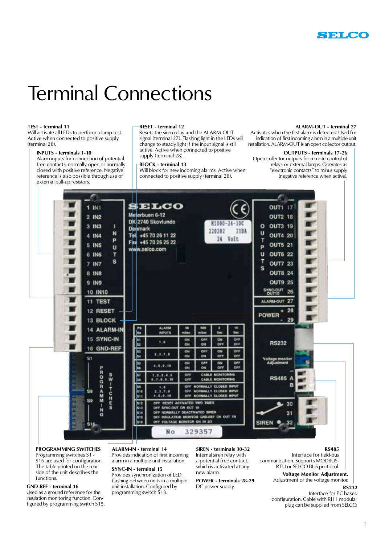

# Terminal Connections

#### **TEST - terminal 11**

Will activate all LEDs to perform a lamp test. Active when connected to positive supply (terminal 28).

#### **INPUTS - terminals 1-10**

Alarm inputs for connection of potential free contacts, normally open or normally closed with positive reference. Negative reference is also possible through use of external pull-up resistors.

#### **RESET - terminal 12**

Resets the siren relay and the ALARM-OUT signal (terminal 27). Flashing light in the LEDs will change to steady light if the input signal is still active. Active when connected to positive supply (terminal 28).

#### **BLOCK - terminal 13**

Will block for new incoming alarms. Active when connected to positive supply (terminal 28).

#### **ALARM-OUT - terminal 27**

Activates when the first alarm is detected. Used for indication of first incoming alarm in a multiple unit installation. ALARM-OUT is an open collector output.

# **OUTPUTS - terminals 17-26**

Open collector outputs for remote control of relays or external lamps. Operates as "electronic contacts" to minus supply (negative reference when active).



#### **PROGRAMMING SWITCHES**

Programming switches S1 - S<sub>16</sub> are used for configuration. The table printed on the rear side of the unit describes the functions.

#### **GND-REF - terminal 16**

Used as a ground reference for the insulation monitoring function. Configured by programming switch S15.

#### **ALARM-IN - terminal 14**

Provides indication of first incoming alarm in a multiple unit installation.

# **SYNC-IN - terminal 15**

Provides synchronization of LED flashing between units in a multiple unit installation. Configured by programming switch  $\tilde{S}$ 13.

**SIREN - terminals 30-32** Internal siren relay with a potential free contact, which is activated at any new alarm.

**POWER - terminals 28-29** DC power supply.

#### **RS485**

Interface for field-bus communication. Supports MODBUS-RTU or SELCO BUS protocol.

#### **Voltage Monitor Adjustment.** Adjustment of the voltage monitor.

**RS232**

#### Interface for PC based configuration. Cable with RJ11 modular plug can be supplied from SELCO.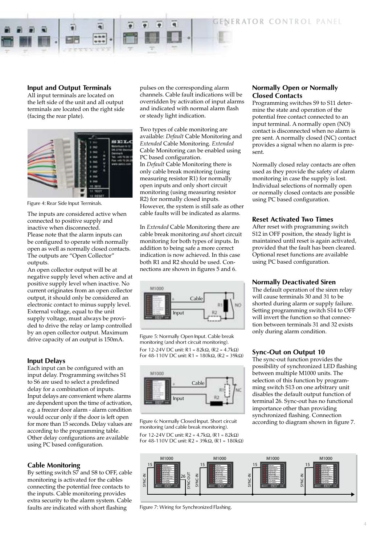**NERATOR CONTROL PANEL** 

# **Input and Output Terminals**

All input terminals are located on the left side of the unit and all output terminals are located on the right side (facing the rear plate).



Figure 4: Rear Side Input Terminals.

The inputs are considered active when connected to positive supply and inactive when disconnected. Please note that the alarm inputs can be configured to operate with normally open as well as normally closed contacts. The outputs are "Open Collector" outputs.

An open collector output will be at negative supply level when active and at positive supply level when inactive. No current originates from an open collector output, it should only be considered an electronic contact to minus supply level. External voltage, equal to the unit supply voltage, must always be provided to drive the relay or lamp controlled by an open collector output. Maximum drive capacity of an output is 150mA.

#### **Input Delays**

Each input can be configured with an input delay. Programming switches S1 to S6 are used to select a predefined delay for a combination of inputs. Input delays are convenient where alarms are dependent upon the time of activation, e.g. a freezer door alarm - alarm condition would occur only if the door is left open for more than 15 seconds. Delay values are according to the programming table. Other delay configurations are available using PC based configuration.

#### **Cable Monitoring**

By setting switch S7 and S8 to OFF, cable monitoring is activated for the cables connecting the potential free contacts to the inputs. Cable monitoring provides extra security to the alarm system. Cable faults are indicated with short flashing

pulses on the corresponding alarm channels. Cable fault indications will be overridden by activation of input alarms and indicated with normal alarm flash or steady light indication.

Two types of cable monitoring are available: *Default* Cable Monitoring and *Extended* Cable Monitoring. *Extended* Cable Monitoring can be enabled using PC based configuration. In *Default* Cable Monitoring there is only cable break monitoring (using measuring resistor R1) for normally open inputs and only short circuit monitoring (using measuring resistor R2) for normally closed inputs. However, the system is still safe as other cable faults will be indicated as alarms.

In *Extended* Cable Monitoring there are cable break monitoring *and* short circuit monitoring for both types of inputs. In addition to being safe a more correct indication is now achieved. In this case both R1 and R2 should be used. Connections are shown in figures 5 and 6.



Figure 5: Normally Open Input. Cable break monitoring (and short circuit monitoring). For 12-24V DC unit:  $R1 = 82k\Omega$ ,  $(R2 = 4.7k\Omega)$ For 48-110V DC unit:  $R1 = 180k\Omega$ , (R2 = 39k $\Omega$ )



Figure 6: Normally Closed Input. Short circuit monitoring (and cable break monitoring). For 12-24V DC unit:  $R2 = 4.7k\Omega$ ,  $(R1 = 82k\Omega)$ For 48-110V DC unit:  $R2 = 39k\Omega$ , (R1 = 180k $\Omega$ )

# **Normally Open or Normally Closed Contacts**

Programming switches S9 to S11 determine the state and operation of the potential free contact connected to an input terminal. A normally open (NO) contact is disconnected when no alarm is pre sent. A normally closed (NC) contact provides a signal when no alarm is present.

Normally closed relay contacts are often used as they provide the safety of alarm monitoring in case the supply is lost. Individual selections of normally open or normally closed contacts are possible using PC based configuration.

#### **Reset Activated Two Times**

After reset with programming switch S12 in OFF position, the steady light is maintained until reset is again activated, provided that the fault has been cleared. Optional reset functions are available using PC based configuration.

#### **Normally Deactivated Siren**

The default operation of the siren relay will cause terminals 30 and 31 to be shorted during alarm or supply failure. Setting programming switch S14 to OFF will invert the function so that connection between terminals 31 and 32 exists only during alarm condition.

#### **Sync-Out on Output 10**

The sync-out function provides the possibility of synchronized LED flashing between multiple M1000 units. The selection of this function by programming switch S13 on one arbitrary unit disables the default output function of terminal 26. Sync-out has no functional importance other than providing synchronized flashing. Connection according to diagram shown in figure 7.



Figure 7: Wiring for Synchronized Flashing.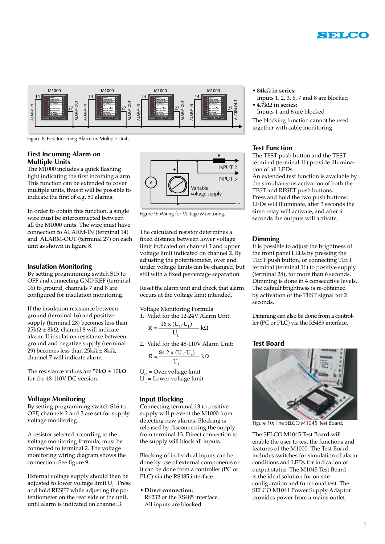



Figure 8: First Incoming Alarm on Multiple Units.

# **First Incoming Alarm on Multiple Units**

The M1000 includes a quick flashing light indicating the first incoming alarm. This function can be extended to cover multiple units, thus it will be possible to indicate the first of e.g. 50 alarms.

In order to obtain this function, a single wire must be interconnected between all the M1000 units. The wire must have connection to ALARM-IN (terminal 14) and ALARM-OUT (terminal 27) on each unit as shown in figure 8.

# **Insulation Monitoring**

By setting programming switch S15 to OFF and connecting GND REF (terminal 16) to ground, channels 7 and 8 are configured for insulation monitoring.

If the insulation resistance between ground (terminal 16) and positive supply (terminal 28) becomes less than  $25k\Omega \pm 8k\Omega$ , channel 8 will indicate alarm. If insulation resistance between ground and negative supply (terminal 29) becomes less than  $25k\Omega \pm 8k\Omega$ , channel 7 will indicate alarm.

The resistance values are  $50k\Omega \pm 10k\Omega$ for the 48-110V DC version.

# **Voltage Monitoring**

By setting programming switch S16 to OFF, channels 2 and 3 are set for supply voltage monitoring.

A resistor selected according to the voltage monitoring formula, must be connected to terminal 2. The voltage monitoring wiring diagram shows the connection. See figure 9.

External voltage supply should then be adjusted to lower voltage limit  $U<sub>1</sub>$ . Press and hold RESET while adjusting the potentiometer on the rear side of the unit, until alarm is indicated on channel 3.



Figure 9: Wiring for Voltage Monitoring.

The calculated resistor determines a fixed distance between lower voltage limit indicated on channel 3 and upper voltage limit indicated on channel 2. By adjusting the potentiometer, over and under voltage limits can be changed, but still with a fixed percentage separation.

Reset the alarm unit and check that alarm occurs at the voltage limit intended.

Voltage Monitoring Formula 1. Valid for the 12-24V Alarm Unit:

$$
R = \frac{16 \times (U_0 - U_L)}{U_L} k\Omega
$$

2. Valid for the 48-110V Alarm Unit:

$$
R = \frac{84.2 \times (U_o - U_L)}{U_L} k\Omega
$$

 $U_{\odot}$  = Over voltage limit  $U_1$  = Lower voltage limit

# **Input Blocking**

Connecting terminal 13 to positive supply will prevent the M1000 from detecting new alarms. Blocking is released by disconnecting the supply from terminal 13. Direct connection to the supply will block all inputs.

Blocking of individual inputs can be done by use of external components or it can be done from a controller (PC or PLC) via the RS485 interface.

**• Direct connection:** RS232 or the RS485 interface. All inputs are blocked

- $\bullet$  84k $\Omega$  in series:
- Inputs 1, 2, 3, 6, 7 and 8 are blocked  $\cdot$  4.7k $\Omega$  in series:
- Inputs 1 and 6 are blocked

The blocking function cannot be used together with cable monitoring.

# **Test Function**

The TEST push button and the TEST terminal (terminal 11) provide illumination of all LEDs.

An extended test function is available by the simultaneous activation of both the TEST and RESET push buttons. Press and hold the two push buttons: LEDs will illuminate, after 3 seconds the siren relay will activate, and after 6 seconds the outputs will activate.

# **Dimming**

It is possible to adjust the brightness of the front panel LEDs by pressing the TEST push button, or connecting TEST terminal (terminal 11) to positive supply (terminal 28), for more than 6 seconds. Dimming is done in 4 consecutive levels. The default brightness is re-obtained by activation of the TEST signal for 2 seconds.

Dimming can also be done from a controller (PC or PLC) via the RS485 interface.

# **Test Board**



Figure 10: The SELCO M1045 Test Board.

The SELCO M1045 Test Board will enable the user to test the functions and features of the M1000. The Test Board includes switches for simulation of alarm conditions and LEDs for indication of output status. The M1045 Test Board is the ideal solution for on site configuration and functional test. The SELCO M1044 Power Supply Adaptor provides power from a mains outlet.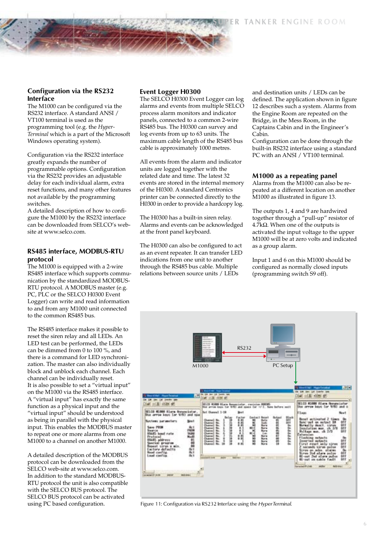# **Configuration via the RS232 Interface**

The M1000 can be configured via the RS232 interface. A standard ANSI / VT100 terminal is used as the programming tool (e.g. the *Hyper-Terminal* which is a part of the Microsoft Windows operating system).

Configuration via the RS232 interface greatly expands the number of programmable options. Configuration via the RS232 provides an adjustable delay for each individual alarm, extra reset functions, and many other features not available by the programming switches.

A detailed description of how to configure the M1000 by the RS232 interface can be downloaded from SELCO's website at www.selco.com.

# **RS485 interface, MODBUS-RTU protocol**

The M1000 is equipped with a 2-wire RS485 interface which supports communication by the standardized MODBUS-RTU protocol. A MODBUS master (e.g. PC, PLC or the SELCO H0300 Event Logger) can write and read information to and from any M1000 unit connected to the common RS485 bus.

The RS485 interface makes it possible to reset the siren relay and all LEDs. An LED test can be performed, the LEDs can be dimmed from 0 to 100 %, and there is a command for LED synchronization. The master can also individually block and unblock each channel. Each channel can be individually reset. It is also possible to set a "virtual input" on the M1000 via the RS485 interface. A "virtual input" has exactly the same function as a physical input and the "virtual input" should be understood as being in parallel with the physical input. This enables the MODBUS master to repeat one or more alarms from one M1000 to a channel on another M1000.

A detailed description of the MODBUS protocol can be downloaded from the SELCO web-site at www.selco.com. In addition to the standard MODBUS-RTU protocol the unit is also compatible with the SELCO BUS protocol. The SELCO BUS protocol can be activated using PC based configuration.

# **Event Logger H0300**

The SELCO H0300 Event Logger can log alarms and events from multiple SELCO process alarm monitors and indicator panels, connected to a common 2-wire RS485 bus. The H0300 can survey and log events from up to 63 units. The maximum cable length of the RS485 bus cable is approximately 1000 metres.

All events from the alarm and indicator units are logged together with the related date and time. The latest 32 events are stored in the internal memory of the H0300. A standard Centronics printer can be connected directly to the H0300 in order to provide a hardcopy log.

The H0300 has a built-in siren relay. Alarms and events can be acknowledged at the front panel keyboard.

The H0300 can also be configured to act as an event repeater. It can transfer LED indications from one unit to another through the RS485 bus cable. Multiple relations between source units / LEDs

and destination units / LEDs can be defined. The application shown in figure 12 describes such a system. Alarms from the Engine Room are repeated on the Bridge, in the Mess Room, in the Captains Cabin and in the Engineer's Cabin.

Configuration can be done through the built-in RS232 interface using a standard PC with an ANSI / VT100 terminal.

#### **M1000 as a repeating panel**

Alarms from the M1000 can also be repeated at a different location on another M1000 as illustrated in figure 13.

The outputs 1, 4 and 9 are hardwired together through a "pull-up" resistor of  $4.7k\Omega$ . When one of the outputs is activated the input voltage to the upper M1000 will be at zero volts and indicated as a group alarm.

Input 1 and 6 on this M1000 should be configured as normally closed inputs (programming switch S9 off).



Figure 11: Configuration via RS232 Interface using the *HyperTerminal.*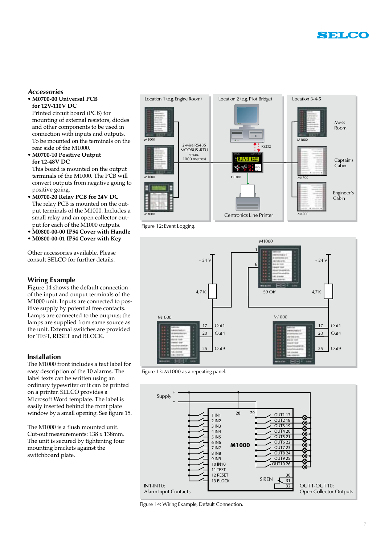

# *Accessories*

### • **M0700-00 Universal PCB for 12V-110V DC**

Printed circuit board (PCB) for mounting of external resistors, diodes and other components to be used in connection with inputs and outputs. To be mounted on the terminals on the rear side of the M1000.

• **M0700-10 Positive Output for 12-48V DC** 

This board is mounted on the output terminals of the M1000. The PCB will convert outputs from negative going to positive going.

- **• M0700-20 Relay PCB for 24V DC** The relay PCB is mounted on the output terminals of the M1000. Includes a small relay and an open collector output for each of the M1000 outputs.
- **• M0800-00-00 IP54 Cover with Handle**
- **• M0800-00-01 IP54 Cover with Key**

Other accessories available. Please consult SELCO for further details.

# **Wiring Example**

Figure 14 shows the default connection of the input and output terminals of the M1000 unit. Inputs are connected to positive supply by potential free contacts. Lamps are connected to the outputs; the lamps are supplied from same source as the unit. External switches are provided for TEST, RESET and BLOCK.

### **Installation**

The M1000 front includes a text label for easy description of the 10 alarms. The label texts can be written using an ordinary typewriter or it can be printed on a printer. SELCO provides a Microsoft Word template. The label is easily inserted behind the front plate window by a small opening. See figure 15.

The M1000 is a flush mounted unit. Cut-out measurements: 138 x 138mm. The unit is secured by tightening four mounting brackets against the switchboard plate.



Figure 12: Event Logging.



Figure 13: M1000 as a repeating panel.



Figure 14: Wiring Example, Default Connection.